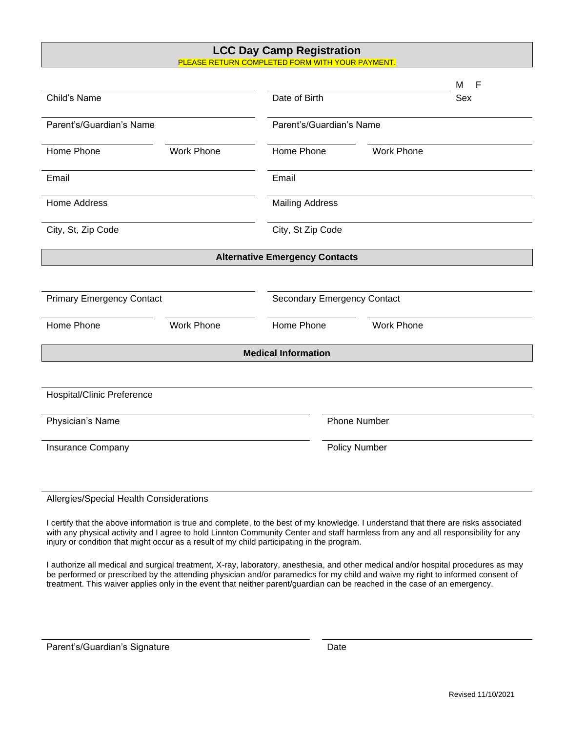## **LCC Day Camp Registration** PLEASE RETURN COMPLETED FORM WITH YOUR PAYMENT.

|                                       |                   |                                 |                                    |                   | M<br>F |  |
|---------------------------------------|-------------------|---------------------------------|------------------------------------|-------------------|--------|--|
| Child's Name                          |                   | Date of Birth                   |                                    |                   | Sex    |  |
| Parent's/Guardian's Name              |                   | Parent's/Guardian's Name        |                                    |                   |        |  |
| Home Phone                            | <b>Work Phone</b> | Home Phone                      |                                    | <b>Work Phone</b> |        |  |
| Email                                 |                   | Email                           |                                    |                   |        |  |
| Home Address                          |                   | <b>Mailing Address</b>          |                                    |                   |        |  |
| City, St, Zip Code                    |                   | City, St Zip Code               |                                    |                   |        |  |
| <b>Alternative Emergency Contacts</b> |                   |                                 |                                    |                   |        |  |
|                                       |                   |                                 |                                    |                   |        |  |
| <b>Primary Emergency Contact</b>      |                   |                                 | <b>Secondary Emergency Contact</b> |                   |        |  |
| Home Phone                            | <b>Work Phone</b> | Home Phone<br><b>Work Phone</b> |                                    |                   |        |  |
| <b>Medical Information</b>            |                   |                                 |                                    |                   |        |  |
|                                       |                   |                                 |                                    |                   |        |  |
| Hospital/Clinic Preference            |                   |                                 |                                    |                   |        |  |
| Physician's Name                      |                   |                                 | <b>Phone Number</b>                |                   |        |  |
| Insurance Company                     |                   |                                 | <b>Policy Number</b>               |                   |        |  |
|                                       |                   |                                 |                                    |                   |        |  |

## Allergies/Special Health Considerations

I certify that the above information is true and complete, to the best of my knowledge. I understand that there are risks associated with any physical activity and I agree to hold Linnton Community Center and staff harmless from any and all responsibility for any injury or condition that might occur as a result of my child participating in the program.

I authorize all medical and surgical treatment, X-ray, laboratory, anesthesia, and other medical and/or hospital procedures as may be performed or prescribed by the attending physician and/or paramedics for my child and waive my right to informed consent of treatment. This waiver applies only in the event that neither parent/guardian can be reached in the case of an emergency.